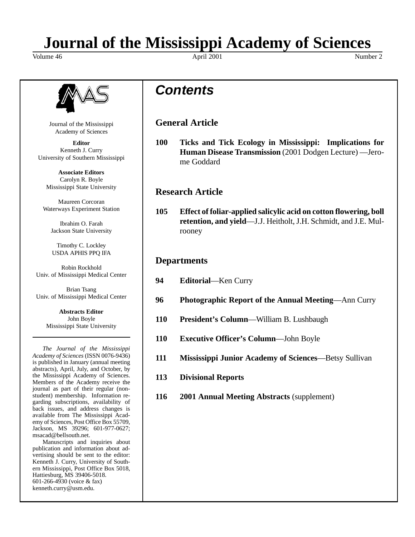# **Journal of the Mississippi Academy of Sciences**

Volume 46 Number 2 April 2001 April 2001



Journal of the Mississippi Academy of Sciences

**Editor** Kenneth J. Curry University of Southern Mississippi

**Associate Editors** Carolyn R. Boyle Mississippi State University

Maureen Corcoran Waterways Experiment Station

Ibrahim O. Farah Jackson State University

Timothy C. Lockley USDA APHIS PPQ IFA

Robin Rockhold Univ. of Mississippi Medical Center

Brian Tsang Univ. of Mississippi Medical Center

> **Abstracts Editor** John Boyle Mississippi State University

*The Journal of the Mississippi Academy of Sciences* (ISSN 0076-9436) is published in January (annual meeting abstracts), April, July, and October, by the Mississippi Academy of Sciences. Members of the Academy receive the journal as part of their regular (nonstudent) membership. Information regarding subscriptions, availability of back issues, and address changes is available from The Mississippi Academy of Sciences, Post Office Box 55709, Jackson, MS 39296; 601-977-0627; msacad@bellsouth.net.

Manuscripts and inquiries about publication and information about advertising should be sent to the editor: Kenneth J. Curry, University of Southern Mississippi, Post Office Box 5018, Hattiesburg, MS 39406-5018. 601-266-4930 (voice & fax) kenneth.curry@usm.edu.

## *Contents*

**General Article**

**100 Ticks and Tick Ecology in Mississippi: Implications for Human Disease Transmission** (2001 Dodgen Lecture) —Jerome Goddard

## **Research Article**

**105 Effect of foliar-applied salicylic acid on cotton flowering, boll retention, and yield**—J.J. Heitholt, J.H. Schmidt, and J.E. Mulrooney

### **Departments**

- **94 Editorial**—Ken Curry
- **96 Photographic Report of the Annual Meeting**—Ann Curry
- **110 President's Column**—William B. Lushbaugh
- **110 Executive Officer's Column**—John Boyle
- **111 Mississippi Junior Academy of Sciences**—Betsy Sullivan
- **113 Divisional Reports**
- **116 2001 Annual Meeting Abstracts** (supplement)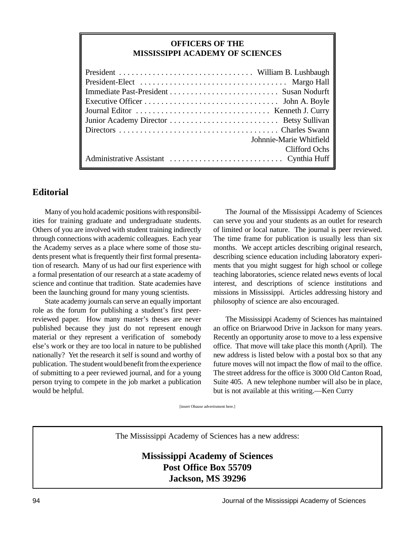#### **OFFICERS OF THE MISSISSIPPI ACADEMY OF SCIENCES**

| Johnnie-Marie Whitfield |
|-------------------------|
| <b>Clifford Ochs</b>    |
|                         |

#### **Editorial**

Many of you hold academic positions with responsibilities for training graduate and undergraduate students. Others of you are involved with student training indirectly through connections with academic colleagues. Each year the Academy serves as a place where some of those students present what is frequently their first formal presentation of research. Many of us had our first experience with a formal presentation of our research at a state academy of science and continue that tradition. State academies have been the launching ground for many young scientists.

State academy journals can serve an equally important role as the forum for publishing a student's first peerreviewed paper. How many master's theses are never published because they just do not represent enough material or they represent a verification of somebody else's work or they are too local in nature to be published nationally? Yet the research it self is sound and worthy of publication. The student would benefit from the experience of submitting to a peer reviewed journal, and for a young person trying to compete in the job market a publication would be helpful.

The Journal of the Mississippi Academy of Sciences can serve you and your students as an outlet for research of limited or local nature. The journal is peer reviewed. The time frame for publication is usually less than six months. We accept articles describing original research, describing science education including laboratory experiments that you might suggest for high school or college teaching laboratories, science related news events of local interest, and descriptions of science institutions and missions in Mississippi. Articles addressing history and philosophy of science are also encouraged.

The Mississippi Academy of Sciences has maintained an office on Briarwood Drive in Jackson for many years. Recently an opportunity arose to move to a less expensive office. That move will take place this month (April). The new address is listed below with a postal box so that any future moves will not impact the flow of mail to the office. The street address for the office is 3000 Old Canton Road, Suite 405. A new telephone number will also be in place, but is not available at this writing.—Ken Curry

[insert Ohause advertisment here.]

The Mississippi Academy of Sciences has a new address:

**Mississippi Academy of Sciences Post Office Box 55709 Jackson, MS 39296**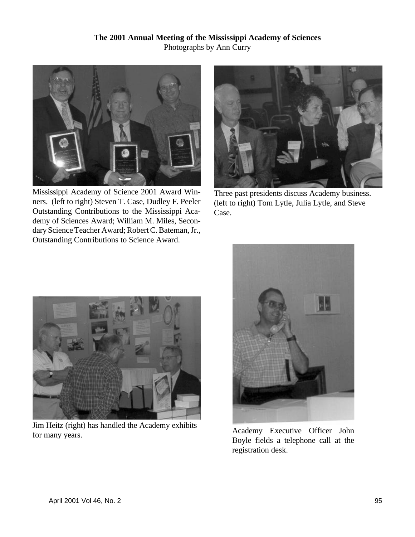

Mississippi Academy of Science 2001 Award Winners. (left to right) Steven T. Case, Dudley F. Peeler Outstanding Contributions to the Mississippi Academy of Sciences Award; William M. Miles, Secondary Science Teacher Award; Robert C. Bateman, Jr., Outstanding Contributions to Science Award.



Three past presidents discuss Academy business. (left to right) Tom Lytle, Julia Lytle, and Steve Case.



Jim Heitz (right) has handled the Academy exhibits For many years.<br>
For many years.



Boyle fields a telephone call at the registration desk.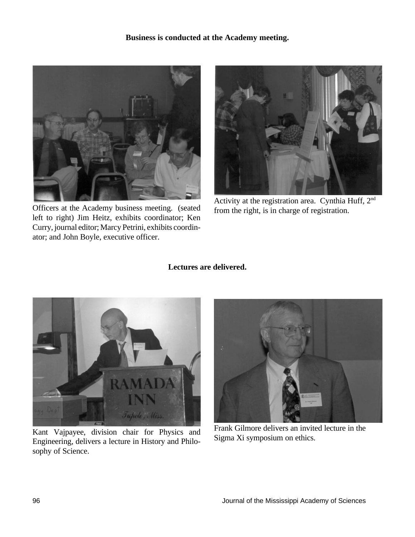#### **Business is conducted at the Academy meeting.**



Officers at the Academy business meeting. (seated left to right) Jim Heitz, exhibits coordinator; Ken Curry, journal editor; Marcy Petrini, exhibits coordinator; and John Boyle, executive officer.



Activity at the registration area. Cynthia Huff, 2nd from the right, is in charge of registration.

#### **Lectures are delivered.**



Kant Vajpayee, division chair for Physics and Engineering, delivers a lecture in History and Philosophy of Science.



Frank Gilmore delivers an invited lecture in the Sigma Xi symposium on ethics.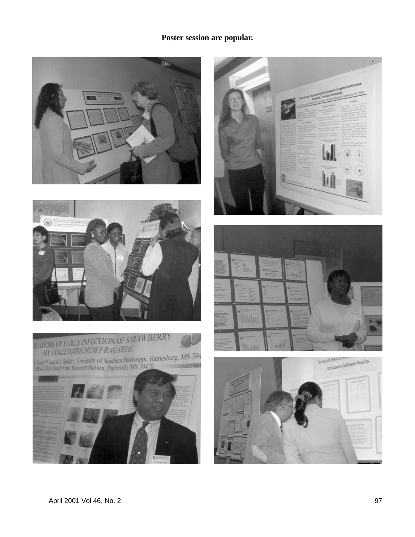#### **Poster session are popular.**









BY COLLETOTRICHUM P RAGARIAL<br>
L'Oury\*, and B.J. Smith', 'University of Southern Mississippi, Hattiesburg, MS 394<br>
ARS-USDA Small Fruit Research Station, Poplarville, MS 39470





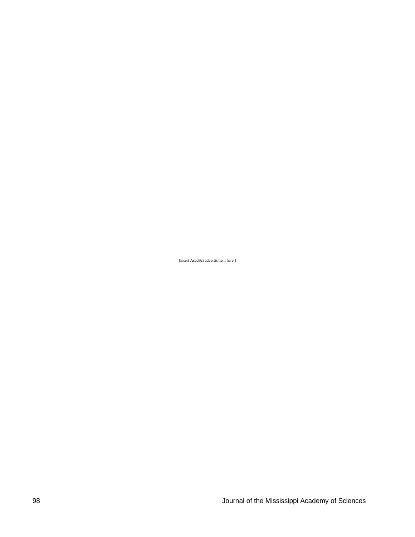[insert AcadSci advertisment here.]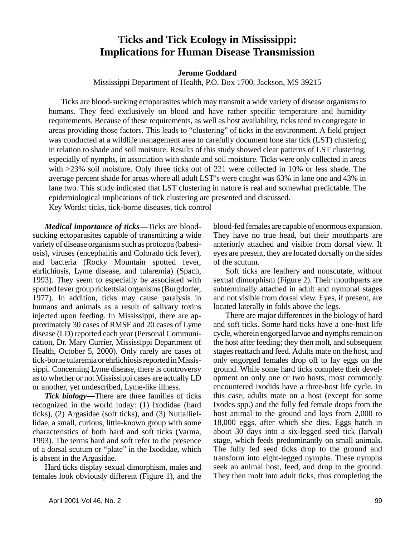## **Ticks and Tick Ecology in Mississippi: Implications for Human Disease Transmission**

**Jerome Goddard**

Mississippi Department of Health, P.O. Box 1700, Jackson, MS 39215

Ticks are blood-sucking ectoparasites which may transmit a wide variety of disease organisms to humans. They feed exclusively on blood and have rather specific temperature and humidity requirements. Because of these requirements, as well as host availability, ticks tend to congregate in areas providing those factors. This leads to "clustering" of ticks in the environment. A field project was conducted at a wildlife management area to carefully document lone star tick (LST) clustering in relation to shade and soil moisture. Results of this study showed clear patterns of LST clustering, especially of nymphs, in association with shade and soil moisture. Ticks were only collected in areas with >23% soil moisture. Only three ticks out of 221 were collected in 10% or less shade. The average percent shade for areas where all adult LST's were caught was 63% in lane one and 43% in lane two. This study indicated that LST clustering in nature is real and somewhat predictable. The epidemiological implications of tick clustering are presented and discussed.

Key Words: ticks, tick-borne diseases, tick control

*Medical importance of ticks—*Ticks are bloodsucking ectoparasites capable of transmitting a wide variety of disease organisms such as protozoa (babesiosis), viruses (encephalitis and Colorado tick fever), and bacteria (Rocky Mountain spotted fever, ehrlichiosis, Lyme disease, and tularemia) (Spach, 1993). They seem to especially be associated with spotted fever group rickettsial organisms (Burgdorfer, 1977). In addition, ticks may cause paralysis in humans and animals as a result of salivary toxins injected upon feeding. In Mississippi, there are approximately 30 cases of RMSF and 20 cases of Lyme disease (LD) reported each year (Personal Communication, Dr. Mary Currier, Mississippi Department of Health, October 5, 2000). Only rarely are cases of tick-borne tularemia or ehrlichiosis reported in Mississippi. Concerning Lyme disease, there is controversy as to whether or not Mississippi cases are actually LD or another, yet undescribed, Lyme-like illness.

*Tick biology—*There are three families of ticks recognized in the world today: (1) Ixodidae (hard ticks), (2) Argasidae (soft ticks), and (3) Nuttalliellidae, a small, curious, little-known group with some characteristics of both hard and soft ticks (Varma, 1993). The terms hard and soft refer to the presence of a dorsal scutum or "plate" in the Ixodidae, which is absent in the Argasidae.

Hard ticks display sexual dimorphism, males and females look obviously different (Figure 1), and the blood-fed females are capable of enormous expansion. They have no true head, but their mouthparts are anteriorly attached and visible from dorsal view. If eyes are present, they are located dorsally on the sides of the scutum.

Soft ticks are leathery and nonscutate, without sexual dimorphism (Figure 2). Their mouthparts are subterminally attached in adult and nymphal stages and not visible from dorsal view. Eyes, if present, are located laterally in folds above the legs.

There are major differences in the biology of hard and soft ticks. Some hard ticks have a one-host life cycle, wherein engorged larvae and nymphs remain on the host after feeding; they then molt, and subsequent stages reattach and feed. Adults mate on the host, and only engorged females drop off to lay eggs on the ground. While some hard ticks complete their development on only one or two hosts, most commonly encountered ixodids have a three-host life cycle. In this case, adults mate on a host (except for some Ixodes spp.) and the fully fed female drops from the host animal to the ground and lays from 2,000 to 18,000 eggs, after which she dies. Eggs hatch in about 30 days into a six-legged seed tick (larval) stage, which feeds predominantly on small animals. The fully fed seed ticks drop to the ground and transform into eight-legged nymphs. These nymphs seek an animal host, feed, and drop to the ground. They then molt into adult ticks, thus completing the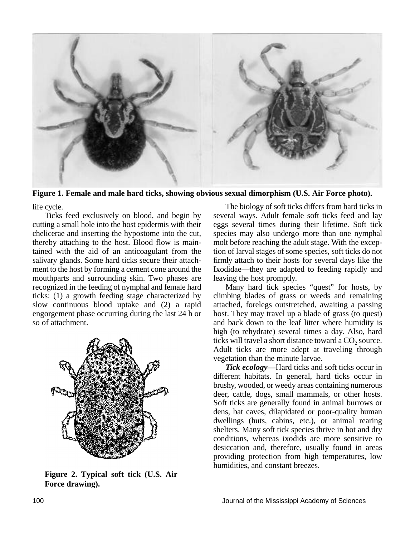

**Figure 1. Female and male hard ticks, showing obvious sexual dimorphism (U.S. Air Force photo).**

life cycle.

Ticks feed exclusively on blood, and begin by cutting a small hole into the host epidermis with their chelicerae and inserting the hypostome into the cut, thereby attaching to the host. Blood flow is maintained with the aid of an anticoagulant from the salivary glands. Some hard ticks secure their attachment to the host by forming a cement cone around the mouthparts and surrounding skin. Two phases are recognized in the feeding of nymphal and female hard ticks: (1) a growth feeding stage characterized by slow continuous blood uptake and (2) a rapid engorgement phase occurring during the last 24 h or so of attachment.



**Figure 2. Typical soft tick (U.S. Air Force drawing).**

The biology of soft ticks differs from hard ticks in several ways. Adult female soft ticks feed and lay eggs several times during their lifetime. Soft tick species may also undergo more than one nymphal molt before reaching the adult stage. With the exception of larval stages of some species, soft ticks do not firmly attach to their hosts for several days like the Ixodidae—they are adapted to feeding rapidly and leaving the host promptly.

Many hard tick species "quest" for hosts, by climbing blades of grass or weeds and remaining attached, forelegs outstretched, awaiting a passing host. They may travel up a blade of grass (to quest) and back down to the leaf litter where humidity is high (to rehydrate) several times a day. Also, hard ticks will travel a short distance toward a  $CO<sub>2</sub>$  source. Adult ticks are more adept at traveling through vegetation than the minute larvae.

*Tick ecology—*Hard ticks and soft ticks occur in different habitats. In general, hard ticks occur in brushy, wooded, or weedy areas containing numerous deer, cattle, dogs, small mammals, or other hosts. Soft ticks are generally found in animal burrows or dens, bat caves, dilapidated or poor-quality human dwellings (huts, cabins, etc.), or animal rearing shelters. Many soft tick species thrive in hot and dry conditions, whereas ixodids are more sensitive to desiccation and, therefore, usually found in areas providing protection from high temperatures, low humidities, and constant breezes.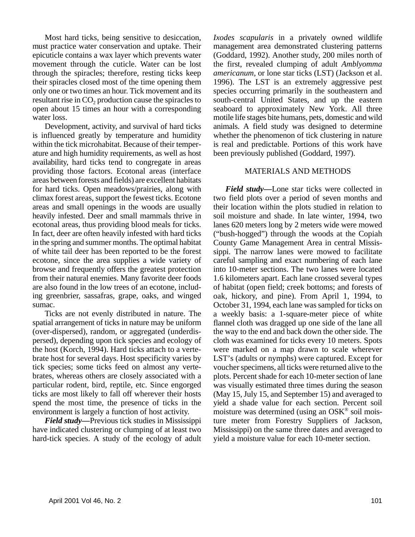Most hard ticks, being sensitive to desiccation, must practice water conservation and uptake. Their epicuticle contains a wax layer which prevents water movement through the cuticle. Water can be lost through the spiracles; therefore, resting ticks keep their spiracles closed most of the time opening them only one or two times an hour. Tick movement and its resultant rise in  $\mathrm{CO}_2$  production cause the spiracles to open about 15 times an hour with a corresponding water loss.

Development, activity, and survival of hard ticks is influenced greatly by temperature and humidity within the tick microhabitat. Because of their temperature and high humidity requirements, as well as host availability, hard ticks tend to congregate in areas providing those factors. Ecotonal areas (interface areas between forests and fields) are excellent habitats for hard ticks. Open meadows/prairies, along with climax forest areas, support the fewest ticks. Ecotone areas and small openings in the woods are usually heavily infested. Deer and small mammals thrive in ecotonal areas, thus providing blood meals for ticks. In fact, deer are often heavily infested with hard ticks in the spring and summer months. The optimal habitat of white tail deer has been reported to be the forest ecotone, since the area supplies a wide variety of browse and frequently offers the greatest protection from their natural enemies. Many favorite deer foods are also found in the low trees of an ecotone, including greenbrier, sassafras, grape, oaks, and winged sumac.

Ticks are not evenly distributed in nature. The spatial arrangement of ticks in nature may be uniform (over-dispersed), random, or aggregated (underdispersed), depending upon tick species and ecology of the host (Korch, 1994). Hard ticks attach to a vertebrate host for several days. Host specificity varies by tick species; some ticks feed on almost any vertebrates, whereas others are closely associated with a particular rodent, bird, reptile, etc. Since engorged ticks are most likely to fall off wherever their hosts spend the most time, the presence of ticks in the environment is largely a function of host activity.

*Field study—*Previous tick studies in Mississippi have indicated clustering or clumping of at least two hard-tick species. A study of the ecology of adult

*Ixodes scapularis* in a privately owned wildlife management area demonstrated clustering patterns (Goddard, 1992). Another study, 200 miles north of the first, revealed clumping of adult *Amblyomma americanum*, or lone star ticks (LST) (Jackson et al. 1996). The LST is an extremely aggressive pest species occurring primarily in the southeastern and south-central United States, and up the eastern seaboard to approximately New York. All three motile life stages bite humans, pets, domestic and wild animals. A field study was designed to determine whether the phenomenon of tick clustering in nature is real and predictable. Portions of this work have been previously published (Goddard, 1997).

#### MATERIALS AND METHODS

*Field study—*Lone star ticks were collected in two field plots over a period of seven months and their location within the plots studied in relation to soil moisture and shade. In late winter, 1994, two lanes 620 meters long by 2 meters wide were mowed ("bush-hogged") through the woods at the Copiah County Game Management Area in central Mississippi. The narrow lanes were mowed to facilitate careful sampling and exact numbering of each lane into 10-meter sections. The two lanes were located 1.6 kilometers apart. Each lane crossed several types of habitat (open field; creek bottoms; and forests of oak, hickory, and pine). From April 1, 1994, to October 31, 1994, each lane was sampled for ticks on a weekly basis: a 1-square-meter piece of white flannel cloth was dragged up one side of the lane all the way to the end and back down the other side. The cloth was examined for ticks every 10 meters. Spots were marked on a map drawn to scale wherever LST's (adults or nymphs) were captured. Except for voucher specimens, all ticks were returned alive to the plots. Percent shade for each 10-meter section of lane was visually estimated three times during the season (May 15, July 15, and September 15) and averaged to yield a shade value for each section. Percent soil moisture was determined (using an OSK® soil moisture meter from Forestry Suppliers of Jackson, Mississippi) on the same three dates and averaged to yield a moisture value for each 10-meter section.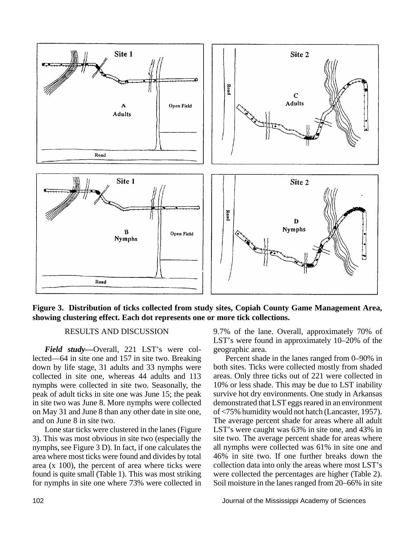

**Figure 3. Distribution of ticks collected from study sites, Copiah County Game Management Area, showing clustering effect. Each dot represents one or more tick collections.**

#### RESULTS AND DISCUSSION

*Field study—*Overall, 221 LST's were collected—64 in site one and 157 in site two. Breaking down by life stage, 31 adults and 33 nymphs were collected in site one, whereas 44 adults and 113 nymphs were collected in site two. Seasonally, the peak of adult ticks in site one was June 15; the peak in site two was June 8. More nymphs were collected on May 31 and June 8 than any other date in site one, and on June 8 in site two.

Lone star ticks were clustered in the lanes (Figure 3). This was most obvious in site two (especially the nymphs, see Figure 3 D). In fact, if one calculates the area where most ticks were found and divides by total area (x 100), the percent of area where ticks were found is quite small (Table 1). This was most striking for nymphs in site one where 73% were collected in 9.7% of the lane. Overall, approximately 70% of LST's were found in approximately 10–20% of the geographic area.

Percent shade in the lanes ranged from 0–90% in both sites. Ticks were collected mostly from shaded areas. Only three ticks out of 221 were collected in 10% or less shade. This may be due to LST inability survive hot dry environments. One study in Arkansas demonstrated that LST eggs reared in an environment of <75% humidity would not hatch (Lancaster, 1957). The average percent shade for areas where all adult LST's were caught was 63% in site one, and 43% in site two. The average percent shade for areas where all nymphs were collected was 61% in site one and 46% in site two. If one further breaks down the collection data into only the areas where most LST's were collected the percentages are higher (Table 2). Soil moisture in the lanes ranged from 20–66% in site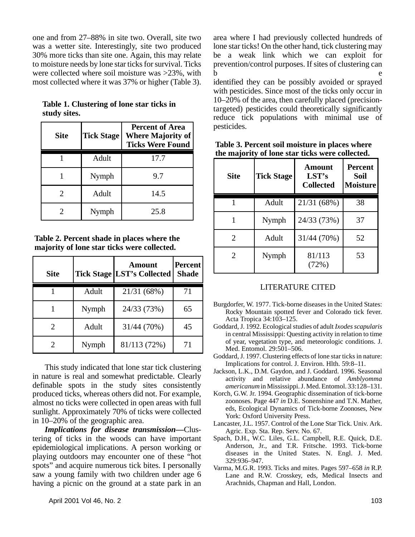one and from 27–88% in site two. Overall, site two was a wetter site. Interestingly, site two produced 30% more ticks than site one. Again, this may relate to moisture needs by lone star ticks for survival. Ticks were collected where soil moisture was >23%, with most collected where it was 37% or higher (Table 3).

| <b>Site</b> | <b>Tick Stage</b> | <b>Percent of Area</b><br><b>Where Majority of</b><br><b>Ticks Were Found</b> |
|-------------|-------------------|-------------------------------------------------------------------------------|
|             | Adult             | 17.7                                                                          |
|             | Nymph             | 9.7                                                                           |
|             | Adult             | 14.5                                                                          |

**Table 1. Clustering of lone star ticks in study sites.**

| Table 2. Percent shade in places where the  |  |
|---------------------------------------------|--|
| majority of lone star ticks were collected. |  |

2 Nymph 25.8

| <b>Site</b>           |       | Amount<br><b>Tick Stage LST's Collected</b> | Percent<br><b>Shade</b> |
|-----------------------|-------|---------------------------------------------|-------------------------|
|                       | Adult | 21/31 (68%)                                 | 71                      |
|                       | Nymph | 24/33 (73%)                                 | 65                      |
| $\mathcal{D}_{\cdot}$ | Adult | 31/44 (70%)                                 | 45                      |
|                       | Nymph | 81/113 (72%)                                | 71                      |

This study indicated that lone star tick clustering in nature is real and somewhat predictable. Clearly definable spots in the study sites consistently produced ticks, whereas others did not. For example, almost no ticks were collected in open areas with full sunlight. Approximately 70% of ticks were collected in 10–20% of the geographic area.

*Implications for disease transmission—*Clustering of ticks in the woods can have important epidemiological implications. A person working or playing outdoors may encounter one of these "hot spots" and acquire numerous tick bites. I personally saw a young family with two children under age 6 having a picnic on the ground at a state park in an

area where I had previously collected hundreds of lone star ticks! On the other hand, tick clustering may be a weak link which we can exploit for prevention/control purposes. If sites of clustering can b e

identified they can be possibly avoided or sprayed with pesticides. Since most of the ticks only occur in 10–20% of the area, then carefully placed (precisiontargeted) pesticides could theoretically significantly reduce tick populations with minimal use of pesticides.

| Site | <b>Tick Stage</b> | Amount<br>LST's<br><b>Collected</b> | <b>Percent</b><br><b>Soil</b><br><b>Moisture</b> |  |
|------|-------------------|-------------------------------------|--------------------------------------------------|--|
|      | Adult             | 21/31 (68%)                         | 38                                               |  |
|      | Nymph             | 24/33 (73%)                         | 37                                               |  |
| 2    | Adult             | 31/44 (70%)                         | 52                                               |  |
| 2    | Nymph             | 81/113<br>(72%)                     | 53                                               |  |

**Table 3. Percent soil moisture in places where the majority of lone star ticks were collected.**

#### LITERATURE CITED

- Burgdorfer, W. 1977. Tick-borne diseases in the United States: Rocky Mountain spotted fever and Colorado tick fever. Acta Tropica 34:103–125.
- Goddard, J. 1992. Ecological studies of adult *Ixodes scapularis* in central Mississippi: Questing activity in relation to time of year, vegetation type, and meteorologic conditions. J. Med. Entomol. 29:501–506.
- Goddard, J. 1997. Clustering effects of lone star ticks in nature: Implications for control. J. Environ. Hlth. 59:8–11.
- Jackson, L.K., D.M. Gaydon, and J. Goddard. 1996. Seasonal activity and relative abundance of *Amblyomma americanum* in Mississippi. J. Med. Entomol. 33:128–131.
- Korch, G.W. Jr. 1994. Geographic dissemination of tick-borne zoonoses. Page 447 *in* D.E. Sonenshine and T.N. Mather, eds, Ecological Dynamics of Tick-borne Zoonoses, New York: Oxford University Press.
- Lancaster, J.L. 1957. Control of the Lone Star Tick. Univ. Ark. Agric. Exp. Sta. Rep. Serv. No. 67.
- Spach, D.H., W.C. Liles, G.L. Campbell, R.E. Quick, D.E. Anderson, Jr., and T.R. Fritsche. 1993. Tick-borne diseases in the United States. N. Engl. J. Med. 329:936–947.
- Varma, M.G.R. 1993. Ticks and mites. Pages 597–658 *in* R.P. Lane and R.W. Crosskey, eds, Medical Insects and Arachnids, Chapman and Hall, London.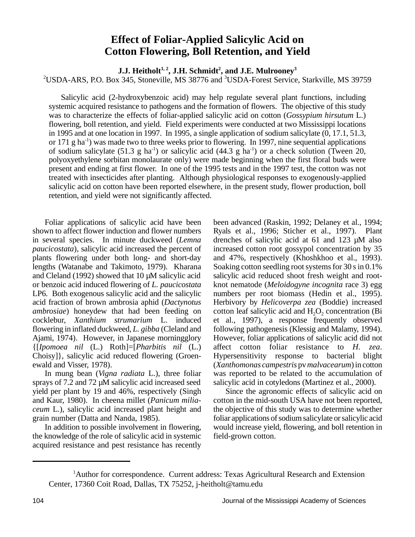## **Effect of Foliar-Applied Salicylic Acid on Cotton Flowering, Boll Retention, and Yield**

**J.J. Heitholt1, 2, J.H. Schmidt<sup>2</sup> , and J.E. Mulrooney<sup>3</sup>**

<sup>2</sup>USDA-ARS, P.O. Box 345, Stoneville, MS 38776 and <sup>3</sup>USDA-Forest Service, Starkville, MS 39759

Salicylic acid (2-hydroxybenzoic acid) may help regulate several plant functions, including systemic acquired resistance to pathogens and the formation of flowers. The objective of this study was to characterize the effects of foliar-applied salicylic acid on cotton (*Gossypium hirsutum* L.) flowering, boll retention, and yield. Field experiments were conducted at two Mississippi locations in 1995 and at one location in 1997. In 1995, a single application of sodium salicylate (0, 17.1, 51.3, or 171 g ha<sup>-1</sup>) was made two to three weeks prior to flowering. In 1997, nine sequential applications of sodium salicylate (51.3 g ha<sup>-1</sup>) or salicylic acid (44.3 g ha<sup>-1</sup>) or a check solution (Tween 20, polyoxyethylene sorbitan monolaurate only) were made beginning when the first floral buds were present and ending at first flower. In one of the 1995 tests and in the 1997 test, the cotton was not treated with insecticides after planting. Although physiological responses to exogenously-applied salicylic acid on cotton have been reported elsewhere, in the present study, flower production, boll retention, and yield were not significantly affected.

Foliar applications of salicylic acid have been shown to affect flower induction and flower numbers in several species. In minute duckweed (*Lemna paucicostata*), salicylic acid increased the percent of plants flowering under both long- and short-day lengths (Watanabe and Takimoto, 1979). Kharana and Cleland (1992) showed that 10 µM salicylic acid or benzoic acid induced flowering of *L. paucicostata* LP6. Both exogenous salicylic acid and the salicylic acid fraction of brown ambrosia aphid (*Dactynotus ambrosiae*) honeydew that had been feeding on cocklebur, *Xanthium strumarium* L. induced flowering in inflated duckweed, *L. gibba* (Cleland and Ajami, 1974). However, in Japanese morningglory {[*Ipomoea nil* (L.) Roth]=[*Pharbitis nil* (L.) Choisy]}, salicylic acid reduced flowering (Groenewald and Visser, 1978).

In mung bean (*Vigna radiata* L.), three foliar sprays of 7.2 and 72  $\mu$ M salicylic acid increased seed yield per plant by 19 and 46%, respectively (Singh and Kaur, 1980). In cheena millet (*Panicum miliaceum* L.), salicylic acid increased plant height and grain number (Datta and Nanda, 1985).

In addition to possible involvement in flowering, the knowledge of the role of salicylic acid in systemic acquired resistance and pest resistance has recently been advanced (Raskin, 1992; Delaney et al., 1994; Ryals et al., 1996; Sticher et al., 1997). Plant drenches of salicylic acid at 61 and 123 µM also increased cotton root gossypol concentration by 35 and 47%, respectively (Khoshkhoo et al., 1993). Soaking cotton seedling root systems for 30 s in 0.1% salicylic acid reduced shoot fresh weight and rootknot nematode (*Meloidogyne incognita* race 3) egg numbers per root biomass (Hedin et al., 1995). Herbivory by *Helicoverpa zea* (Boddie) increased cotton leaf salicylic acid and  $H_2O_2$  concentration (Bi et al., 1997), a response frequently observed following pathogenesis (Klessig and Malamy, 1994). However, foliar applications of salicylic acid did not affect cotton foliar resistance to *H. zea*. Hypersensitivity response to bacterial blight (*Xanthomonas campestris* pv *malvacearum*) in cotton was reported to be related to the accumulation of salicylic acid in cotyledons (Martinez et al., 2000).

Since the agronomic effects of salicylic acid on cotton in the mid-south USA have not been reported, the objective of this study was to determine whether foliar applications of sodium salicylate or salicylic acid would increase yield, flowering, and boll retention in field-grown cotton.

<sup>&</sup>lt;sup>1</sup>Author for correspondence. Current address: Texas Agricultural Research and Extension Center, 17360 Coit Road, Dallas, TX 75252, j-heitholt@tamu.edu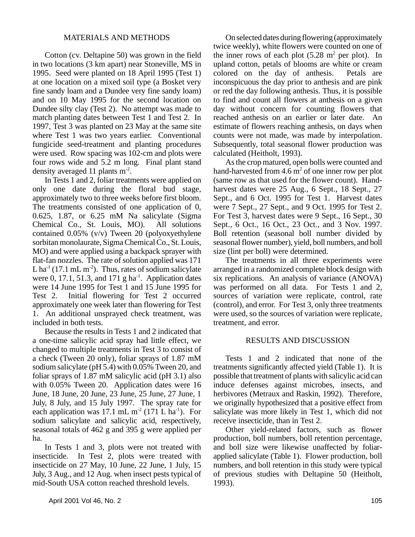#### MATERIALS AND METHODS

Cotton (cv. Deltapine 50) was grown in the field in two locations (3 km apart) near Stoneville, MS in 1995. Seed were planted on 18 April 1995 (Test 1) at one location on a mixed soil type (a Bosket very fine sandy loam and a Dundee very fine sandy loam) and on 10 May 1995 for the second location on Dundee silty clay (Test 2). No attempt was made to match planting dates between Test 1 and Test 2. In 1997, Test 3 was planted on 23 May at the same site where Test 1 was two years earlier. Conventional fungicide seed-treatment and planting procedures were used. Row spacing was 102-cm and plots were four rows wide and 5.2 m long. Final plant stand density averaged 11 plants  $m<sup>-2</sup>$ .

In Tests 1 and 2, foliar treatments were applied on only one date during the floral bud stage, approximately two to three weeks before first bloom. The treatments consisted of one application of 0, 0.625, 1.87, or 6.25 mM Na salicylate (Sigma Chemical Co., St. Louis, MO). All solutions contained 0.05% (v/v) Tween 20 (polyoxyethylene sorbitan monolaurate, Sigma Chemical Co., St. Louis, MO) and were applied using a backpack sprayer with flat-fan nozzles. The rate of solution applied was 171 L ha<sup>-1</sup> (17.1 mL m<sup>-2</sup>). Thus, rates of sodium salicylate were 0, 17.1, 51.3, and 171 g ha<sup>-1</sup>. Application dates were 14 June 1995 for Test 1 and 15 June 1995 for Test 2. Initial flowering for Test 2 occurred approximately one week later than flowering for Test 1. An additional unsprayed check treatment, was included in both tests.

Because the results in Tests 1 and 2 indicated that a one-time salicylic acid spray had little effect, we changed to multiple treatments in Test 3 to consist of a check (Tween 20 only), foliar sprays of 1.87 mM sodium salicylate (pH 5.4) with 0.05% Tween 20, and foliar sprays of 1.87 mM salicylic acid (pH 3.1) also with 0.05% Tween 20. Application dates were 16 June, 18 June, 20 June, 23 June, 25 June, 27 June, 1 July, 8 July, and 15 July 1997. The spray rate for each application was 17.1 mL  $m<sup>2</sup>$  (171 L ha<sup>-1</sup>). For sodium salicylate and salicylic acid, respectively, seasonal totals of 462 g and 395 g were applied per ha.

In Tests 1 and 3, plots were not treated with insecticide. In Test 2, plots were treated with insecticide on 27 May, 10 June, 22 June, 1 July, 15 July, 3 Aug., and 12 Aug. when insect pests typical of mid-South USA cotton reached threshold levels.

On selected dates during flowering (approximately twice weekly), white flowers were counted on one of the inner rows of each plot  $(5.28 \text{ m}^2 \text{ per plot})$ . In upland cotton, petals of blooms are white or cream colored on the day of anthesis. Petals are inconspicuous the day prior to anthesis and are pink or red the day following anthesis. Thus, it is possible to find and count all flowers at anthesis on a given day without concern for counting flowers that reached anthesis on an earlier or later date. An estimate of flowers reaching anthesis, on days when counts were not made, was made by interpolation. Subsequently, total seasonal flower production was calculated (Heitholt, 1993).

As the crop matured, open bolls were counted and hand-harvested from  $4.6 \text{ m}^2$  of one inner row per plot (same row as that used for the flower count). Handharvest dates were 25 Aug., 6 Sept., 18 Sept., 27 Sept., and 6 Oct. 1995 for Test 1. Harvest dates were 7 Sept., 27 Sept., and 9 Oct. 1995 for Test 2. For Test 3, harvest dates were 9 Sept., 16 Sept., 30 Sept., 6 Oct., 16 Oct., 23 Oct., and 3 Nov. 1997. Boll retention (seasonal boll number divided by seasonal flower number), yield, boll numbers, and boll size (lint per boll) were determined.

The treatments in all three experiments were arranged in a randomized complete block design with six replications. An analysis of variance (ANOVA) was performed on all data. For Tests 1 and 2, sources of variation were replicate, control, rate (control), and error. For Test 3, only three treatments were used, so the sources of variation were replicate, treatment, and error.

#### RESULTS AND DISCUSSION

Tests 1 and 2 indicated that none of the treatments significantly affected yield (Table 1). It is possible that treatment of plants with salicylic acid can induce defenses against microbes, insects, and herbivores (Metraux and Raskin, 1992). Therefore, we originally hypothesized that a positive effect from salicylate was more likely in Test 1, which did not receive insecticide, than in Test 2.

Other yield-related factors, such as flower production, boll numbers, boll retention percentage, and boll size were likewise unaffected by foliarapplied salicylate (Table 1). Flower production, boll numbers, and boll retention in this study were typical of previous studies with Deltapine 50 (Heitholt, 1993).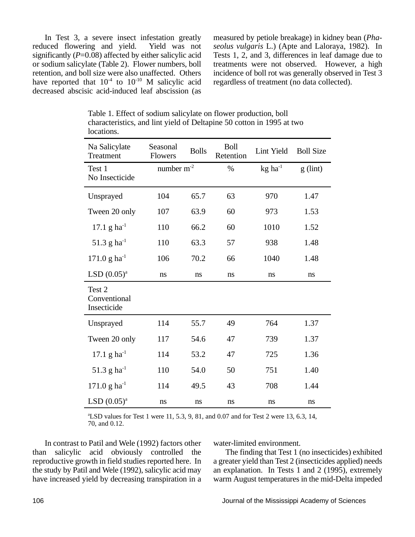In Test 3, a severe insect infestation greatly reduced flowering and yield. Yield was not significantly  $(P=0.08)$  affected by either salicylic acid or sodium salicylate (Table 2). Flower numbers, boll retention, and boll size were also unaffected. Others have reported that  $10^{-4}$  to  $10^{-10}$  M salicylic acid decreased abscisic acid-induced leaf abscission (as

measured by petiole breakage) in kidney bean (*Phaseolus vulgaris* L.) (Apte and Laloraya, 1982). In Tests 1, 2, and 3, differences in leaf damage due to treatments were not observed. However, a high incidence of boll rot was generally observed in Test 3 regardless of treatment (no data collected).

| Na Salicylate<br>Treatment            | Seasonal<br>Flowers | <b>Bolls</b> | <b>Boll</b><br>Retention | Lint Yield            | <b>Boll Size</b> |
|---------------------------------------|---------------------|--------------|--------------------------|-----------------------|------------------|
| Test 1<br>No Insecticide              | number $m-2$        |              | $\%$                     | $kg$ ha <sup>-1</sup> | $g$ (lint)       |
| Unsprayed                             | 104                 | 65.7         | 63                       | 970                   | 1.47             |
| Tween 20 only                         | 107                 | 63.9         | 60                       | 973                   | 1.53             |
| 17.1 g ha <sup>-1</sup>               | 110                 | 66.2         | 60                       | 1010                  | 1.52             |
| 51.3 g ha <sup>-1</sup>               | 110                 | 63.3         | 57                       | 938                   | 1.48             |
| $171.0 \text{ g} \text{ ha}^{-1}$     | 106                 | 70.2         | 66                       | 1040                  | 1.48             |
| LSD (0.05) <sup>a</sup>               | ns                  | ns           | ns                       | ns                    | ns               |
| Test 2<br>Conventional<br>Insecticide |                     |              |                          |                       |                  |
| Unsprayed                             | 114                 | 55.7         | 49                       | 764                   | 1.37             |
| Tween 20 only                         | 117                 | 54.6         | 47                       | 739                   | 1.37             |
| $17.1 g ha^{-1}$                      | 114                 | 53.2         | 47                       | 725                   | 1.36             |
| 51.3 g ha <sup>-1</sup>               | 110                 | 54.0         | 50                       | 751                   | 1.40             |
| $171.0$ g ha <sup>-1</sup>            | 114                 | 49.5         | 43                       | 708                   | 1.44             |
| $LSD (0.05)^{a}$                      | ns                  | ns           | ns                       | ns                    | ns               |

Table 1. Effect of sodium salicylate on flower production, boll characteristics, and lint yield of Deltapine 50 cotton in 1995 at two locations.

<sup>a</sup>LSD values for Test 1 were 11, 5.3, 9, 81, and 0.07 and for Test 2 were 13, 6.3, 14, 70, and 0.12.

In contrast to Patil and Wele (1992) factors other than salicylic acid obviously controlled the reproductive growth in field studies reported here. In the study by Patil and Wele (1992), salicylic acid may have increased yield by decreasing transpiration in a water-limited environment.

The finding that Test 1 (no insecticides) exhibited a greater yield than Test 2 (insecticides applied) needs an explanation. In Tests 1 and 2 (1995), extremely warm August temperatures in the mid-Delta impeded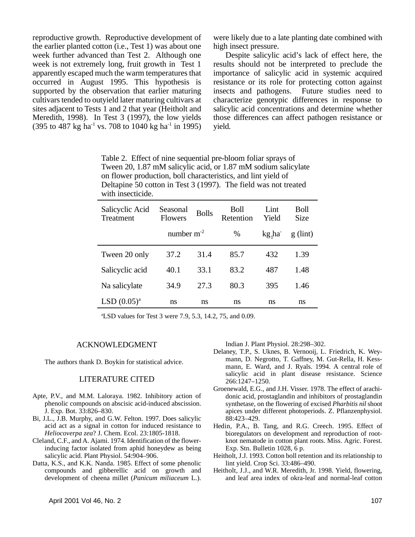reproductive growth. Reproductive development of the earlier planted cotton (i.e., Test 1) was about one week further advanced than Test 2. Although one week is not extremely long, fruit growth in Test 1 apparently escaped much the warm temperatures that occurred in August 1995. This hypothesis is supported by the observation that earlier maturing cultivars tended to outyield later maturing cultivars at sites adjacent to Tests 1 and 2 that year (Heitholt and Meredith, 1998). In Test 3 (1997), the low yields  $(395 \text{ to } 487 \text{ kg ha}^{-1} \text{ vs. } 708 \text{ to } 1040 \text{ kg ha}^{-1} \text{ in } 1995)$ 

were likely due to a late planting date combined with high insect pressure.

Despite salicylic acid's lack of effect here, the results should not be interpreted to preclude the importance of salicylic acid in systemic acquired resistance or its role for protecting cotton against insects and pathogens. Future studies need to characterize genotypic differences in response to salicylic acid concentrations and determine whether those differences can affect pathogen resistance or yield.

Table 2. Effect of nine sequential pre-bloom foliar sprays of Tween 20, 1.87 mM salicylic acid, or 1.87 mM sodium salicylate on flower production, boll characteristics, and lint yield of Deltapine 50 cotton in Test 3 (1997). The field was not treated with insecticide.

| Salicyclic Acid<br>Treatment | Seasonal<br><b>Flowers</b> | <b>Bolls</b> | Boll<br>Retention | Lint<br>Yield | Boll<br><b>Size</b> |
|------------------------------|----------------------------|--------------|-------------------|---------------|---------------------|
|                              | number $m^{-2}$            |              | $\%$              | kg, ha        | $g$ (lint)          |
| Tween 20 only                | 37.2                       | 31.4         | 85.7              | 432           | 1.39                |
| Salicyclic acid              | 40.1                       | 33.1         | 83.2              | 487           | 1.48                |
| Na salicylate                | 34.9                       | 27.3         | 80.3              | 395           | 1.46                |
| $LSD (0.05)^{a}$             | ns                         | ns           | ns                | ns            | ns                  |

<sup>a</sup>LSD values for Test 3 were 7.9, 5.3, 14.2, 75, and 0.09.

#### ACKNOWLEDGMENT

The authors thank D. Boykin for statistical advice.

#### LITERATURE CITED

- Apte, P.V., and M.M. Laloraya. 1982. Inhibitory action of phenolic compounds on abscisic acid-induced abscission. J. Exp. Bot. 33:826–830.
- Bi, J.L., J.B. Murphy, and G.W. Felton. 1997. Does salicylic acid act as a signal in cotton for induced resistance to *Heliocoverpa zea*? J. Chem. Ecol. 23:1805-1818.
- Cleland, C.F., and A. Ajami. 1974. Identification of the flowerinducing factor isolated from aphid honeydew as being salicylic acid. Plant Physiol. 54:904–906.
- Datta, K.S., and K.K. Nanda. 1985. Effect of some phenolic compounds and gibberellic acid on growth and development of cheena millet (*Panicum miliaceum* L.).

Indian J. Plant Physiol. 28:298–302.

- Delaney, T.P., S. Uknes, B. Vernooij, L. Friedrich, K. Weymann, D. Negrotto, T. Gaffney, M. Gut-Rella, H. Kessmann, E. Ward, and J. Ryals. 1994. A central role of salicylic acid in plant disease resistance. Science 266:1247–1250.
- Groenewald, E.G., and J.H. Visser. 1978. The effect of arachidonic acid, prostaglandin and inhibitors of prostaglandin synthetase, on the flowering of excised *Pharbitis nil* shoot apices under different photoperiods. Z. Pflanzenphysiol. 88:423–429.
- Hedin, P.A., B. Tang, and R.G. Creech. 1995. Effect of bioregulators on development and reproduction of rootknot nematode in cotton plant roots. Miss. Agric. Forest. Exp. Stn. Bulletin 1028, 6 p.
- Heitholt, J.J. 1993. Cotton boll retention and its relationship to lint yield. Crop Sci. 33:486–490.
- Heitholt, J.J., and W.R. Meredith, Jr. 1998. Yield, flowering, and leaf area index of okra-leaf and normal-leaf cotton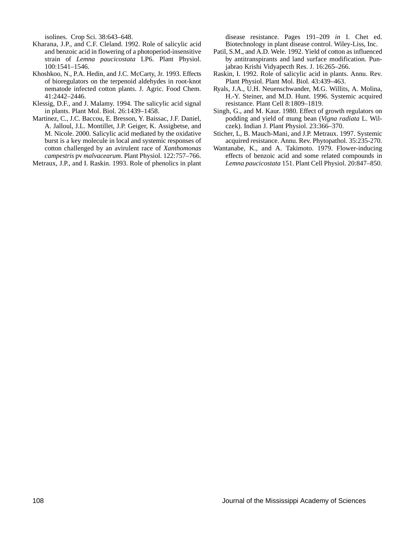isolines. Crop Sci. 38:643–648.

- Kharana, J.P., and C.F. Cleland. 1992. Role of salicylic acid and benzoic acid in flowering of a photoperiod-insensitive strain of *Lemna paucicostata* LP6. Plant Physiol. 100:1541–1546.
- Khoshkoo, N., P.A. Hedin, and J.C. McCarty, Jr. 1993. Effects of bioregulators on the terpenoid aldehydes in root-knot nematode infected cotton plants. J. Agric. Food Chem. 41:2442–2446.
- Klessig, D.F., and J. Malamy. 1994. The salicylic acid signal in plants. Plant Mol. Biol. 26:1439–1458.
- Martinez, C., J.C. Baccou, E. Bresson, Y. Baissac, J.F. Daniel, A. Jalloul, J.L. Montillet, J.P. Geiger, K. Assigbetse, and M. Nicole. 2000. Salicylic acid mediated by the oxidative burst is a key molecule in local and systemic responses of cotton challenged by an avirulent race of *Xanthomonas campestris* pv *malvacearum*. Plant Physiol. 122:757–766.

Metraux, J.P., and I. Raskin. 1993. Role of phenolics in plant

disease resistance. Pages 191–209 *in* I. Chet ed. Biotechnology in plant disease control. Wiley-Liss, Inc.

- Patil, S.M., and A.D. Wele. 1992. Yield of cotton as influenced by antitranspirants and land surface modification. Punjabrao Krishi Vidyapecth Res. J. 16:265–266.
- Raskin, I. 1992. Role of salicylic acid in plants. Annu. Rev. Plant Physiol. Plant Mol. Biol. 43:439–463.
- Ryals, J.A., U.H. Neuenschwander, M.G. Willits, A. Molina, H.-Y. Steiner, and M.D. Hunt. 1996. Systemic acquired resistance. Plant Cell 8:1809–1819.
- Singh, G., and M. Kaur. 1980. Effect of growth regulators on podding and yield of mung bean (*Vigna radiata* L. Wilczek). Indian J. Plant Physiol. 23:366–370.
- Sticher, L, B. Mauch-Mani, and J.P. Metraux. 1997. Systemic acquired resistance. Annu. Rev. Phytopathol. 35:235-270.
- Wantanabe, K., and A. Takimoto. 1979. Flower-inducing effects of benzoic acid and some related compounds in *Lemna paucicostata* 151. Plant Cell Physiol. 20:847–850.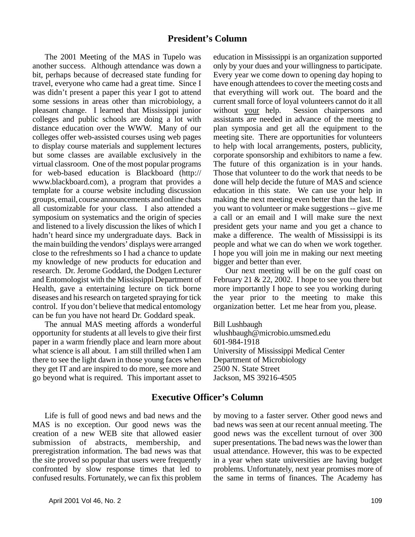The 2001 Meeting of the MAS in Tupelo was another success. Although attendance was down a bit, perhaps because of decreased state funding for travel, everyone who came had a great time. Since I was didn't present a paper this year I got to attend some sessions in areas other than microbiology, a pleasant change. I learned that Mississippi junior colleges and public schools are doing a lot with distance education over the WWW. Many of our colleges offer web-assisted courses using web pages to display course materials and supplement lectures but some classes are available exclusively in the virtual classroom. One of the most popular programs for web-based education is Blackboard (http:// www.blackboard.com), a program that provides a template for a course website including discussion groups, email, course announcements and online chats all customizable for your class. I also attended a symposium on systematics and the origin of species and listened to a lively discussion the likes of which I hadn't heard since my undergraduate days. Back in the main building the vendors' displays were arranged close to the refreshments so I had a chance to update my knowledge of new products for education and research. Dr. Jerome Goddard, the Dodgen Lecturer and Entomologist with the Mississippi Department of Health, gave a entertaining lecture on tick borne diseases and his research on targeted spraying for tick control. If you don't believe that medical entomology can be fun you have not heard Dr. Goddard speak.

The annual MAS meeting affords a wonderful opportunity for students at all levels to give their first paper in a warm friendly place and learn more about what science is all about. I am still thrilled when I am there to see the light dawn in those young faces when they get IT and are inspired to do more, see more and go beyond what is required. This important asset to education in Mississippi is an organization supported only by your dues and your willingness to participate. Every year we come down to opening day hoping to have enough attendees to cover the meeting costs and that everything will work out. The board and the current small force of loyal volunteers cannot do it all without your help. Session chairpersons and assistants are needed in advance of the meeting to plan symposia and get all the equipment to the meeting site. There are opportunities for volunteers to help with local arrangements, posters, publicity, corporate sponsorship and exhibitors to name a few. The future of this organization is in your hands. Those that volunteer to do the work that needs to be done will help decide the future of MAS and science education in this state. We can use your help in making the next meeting even better than the last. If you want to volunteer or make suggestions -- give me a call or an email and I will make sure the next president gets your name and you get a chance to make a difference. The wealth of Mississippi is its people and what we can do when we work together. I hope you will join me in making our next meeting bigger and better than ever.

Our next meeting will be on the gulf coast on February 21 & 22, 2002. I hope to see you there but more importantly I hope to see you working during the year prior to the meeting to make this organization better. Let me hear from you, please.

Bill Lushbaugh wlushbaugh@microbio.umsmed.edu 601-984-1918 University of Mississippi Medical Center Department of Microbiology 2500 N. State Street Jackson, MS 39216-4505

## **Executive Officer's Column**

Life is full of good news and bad news and the MAS is no exception. Our good news was the creation of a new WEB site that allowed easier submission of abstracts, membership, and preregistration information. The bad news was that the site proved so popular that users were frequently confronted by slow response times that led to confused results. Fortunately, we can fix this problem by moving to a faster server. Other good news and bad news was seen at our recent annual meeting. The good news was the excellent turnout of over 300 super presentations. The bad news was the lower than usual attendance. However, this was to be expected in a year when state universities are having budget problems. Unfortunately, next year promises more of the same in terms of finances. The Academy has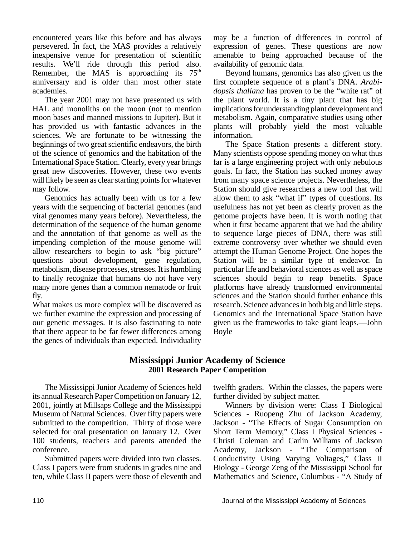encountered years like this before and has always persevered. In fact, the MAS provides a relatively inexpensive venue for presentation of scientific results. We'll ride through this period also. Remember, the MAS is approaching its  $75<sup>th</sup>$ anniversary and is older than most other state academies.

The year 2001 may not have presented us with HAL and monoliths on the moon (not to mention moon bases and manned missions to Jupiter). But it has provided us with fantastic advances in the sciences. We are fortunate to be witnessing the beginnings of two great scientific endeavors, the birth of the science of genomics and the habitation of the International Space Station. Clearly, every year brings great new discoveries. However, these two events will likely be seen as clear starting points for whatever may follow.

Genomics has actually been with us for a few years with the sequencing of bacterial genomes (and viral genomes many years before). Nevertheless, the determination of the sequence of the human genome and the annotation of that genome as well as the impending completion of the mouse genome will allow researchers to begin to ask "big picture" questions about development, gene regulation, metabolism, disease processes, stresses. It is humbling to finally recognize that humans do not have very many more genes than a common nematode or fruit fly.

What makes us more complex will be discovered as we further examine the expression and processing of our genetic messages. It is also fascinating to note that there appear to be far fewer differences among the genes of individuals than expected. Individuality

may be a function of differences in control of expression of genes. These questions are now amenable to being approached because of the availability of genomic data.

Beyond humans, genomics has also given us the first complete sequence of a plant's DNA. *Arabidopsis thaliana* has proven to be the "white rat" of the plant world. It is a tiny plant that has big implications for understanding plant development and metabolism. Again, comparative studies using other plants will probably yield the most valuable information.

The Space Station presents a different story. Many scientists oppose spending money on what thus far is a large engineering project with only nebulous goals. In fact, the Station has sucked money away from many space science projects. Nevertheless, the Station should give researchers a new tool that will allow them to ask "what if" types of questions. Its usefulness has not yet been as clearly proven as the genome projects have been. It is worth noting that when it first became apparent that we had the ability to sequence large pieces of DNA, there was still extreme controversy over whether we should even attempt the Human Genome Project. One hopes the Station will be a similar type of endeavor. In particular life and behavioral sciences as well as space sciences should begin to reap benefits. Space platforms have already transformed environmental sciences and the Station should further enhance this research. Science advances in both big and little steps. Genomics and the International Space Station have given us the frameworks to take giant leaps.—John Boyle

#### **Mississippi Junior Academy of Science 2001 Research Paper Competition**

The Mississippi Junior Academy of Sciences held its annual Research Paper Competition on January 12, 2001, jointly at Millsaps College and the Mississippi Museum of Natural Sciences. Over fifty papers were submitted to the competition. Thirty of those were selected for oral presentation on January 12. Over 100 students, teachers and parents attended the conference.

Submitted papers were divided into two classes. Class I papers were from students in grades nine and ten, while Class II papers were those of eleventh and twelfth graders. Within the classes, the papers were further divided by subject matter.

Winners by division were: Class I Biological Sciences - Ruopeng Zhu of Jackson Academy, Jackson - "The Effects of Sugar Consumption on Short Term Memory," Class I Physical Sciences - Christi Coleman and Carlin Williams of Jackson Academy, Jackson - "The Comparison of Conductivity Using Varying Voltages," Class II Biology - George Zeng of the Mississippi School for Mathematics and Science, Columbus - "A Study of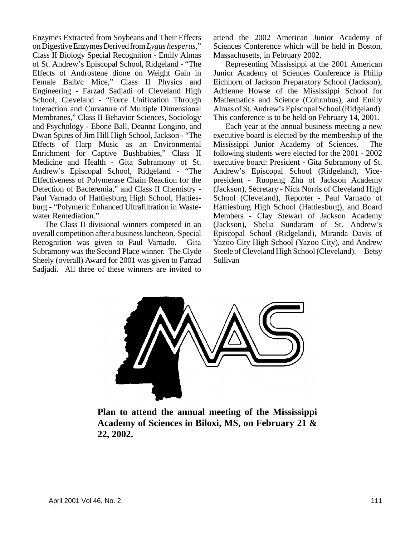Enzymes Extracted from Soybeans and Their Effects on Digestive Enzymes Derived from *Lygus hesperus*," Class II Biology Special Recognition - Emily Almas of St. Andrew's Episcopal School, Ridgeland - "The Effects of Androstene dione on Weight Gain in Female Balb/c Mice," Class II Physics and Engineering - Farzad Sadjadi of Cleveland High School, Cleveland - "Force Unification Through Interaction and Curvature of Multiple Dimensional Membranes," Class II Behavior Sciences, Sociology and Psychology - Ebone Ball, Deanna Longino, and Dwan Spires of Jim Hill High School, Jackson - "The Effects of Harp Music as an Environmental Enrichment for Captive Bushbabies," Class II Medicine and Health - Gita Subramony of St. Andrew's Episcopal School, Ridgeland - "The Effectiveness of Polymerase Chain Reaction for the Detection of Bacteremia," and Class II Chemistry - Paul Varnado of Hattiesburg High School, Hattiesburg - "Polymeric Enhanced Ultrafiltration in Wastewater Remediation."

The Class II divisional winners competed in an overall competition after a business luncheon. Special Recognition was given to Paul Varnado. Gita Subramony was the Second Place winner. The Clyde Sheely (overall) Award for 2001 was given to Farzad Sadjadi. All three of these winners are invited to

attend the 2002 American Junior Academy of Sciences Conference which will be held in Boston, Massachusetts, in February 2002.

Representing Mississippi at the 2001 American Junior Academy of Sciences Conference is Philip Eichhorn of Jackson Preparatory School (Jackson), Adrienne Howse of the Mississippi School for Mathematics and Science (Columbus), and Emily Almas of St. Andrew's Episcopal School (Ridgeland). This conference is to be held on February 14, 2001.

Each year at the annual business meeting a new executive board is elected by the membership of the Mississippi Junior Academy of Sciences. The following students were elected for the 2001 - 2002 executive board: President - Gita Subramony of St. Andrew's Episcopal School (Ridgeland), Vicepresident - Ruopeng Zhu of Jackson Academy (Jackson), Secretary - Nick Norris of Cleveland High School (Cleveland), Reporter - Paul Varnado of Hattiesburg High School (Hattiesburg), and Board Members - Clay Stewart of Jackson Academy (Jackson), Shelia Sundaram of St. Andrew's Episcopal School (Ridgeland), Miranda Davis of Yazoo City High School (Yazoo City), and Andrew Steele of Cleveland High School (Cleveland).—Betsy Sullivan



**Plan to attend the annual meeting of the Mississippi Academy of Sciences in Biloxi, MS, on February 21 & 22, 2002.**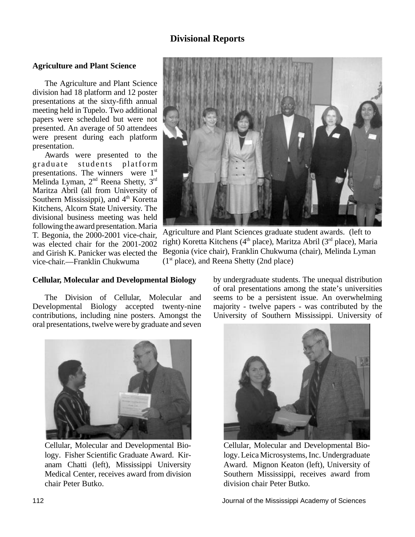## **Divisional Reports**

#### **Agriculture and Plant Science**

The Agriculture and Plant Science division had 18 platform and 12 poster presentations at the sixty-fifth annual meeting held in Tupelo. Two additional papers were scheduled but were not presented. An average of 50 attendees were present during each platform presentation.

Awards were presented to the graduate students platform presentations. The winners were 1<sup>st</sup> Melinda Lyman, 2nd Reena Shetty, 3rd Maritza Abril (all from University of Southern Mississippi), and 4<sup>th</sup> Koretta Kitchens, Alcorn State University. The divisional business meeting was held following the award presentation. Maria T. Begonia, the 2000-2001 vice-chair, was elected chair for the 2001-2002 and Girish K. Panicker was elected the vice-chair.—Franklin Chukwuma



Agriculture and Plant Sciences graduate student awards. (left to right) Koretta Kitchens (4<sup>th</sup> place), Maritza Abril (3<sup>rd</sup> place), Maria Begonia (vice chair), Franklin Chukwuma (chair), Melinda Lyman  $(1<sup>st</sup> place)$ , and Reena Shetty (2nd place)

#### **Cellular, Molecular and Developmental Biology**

The Division of Cellular, Molecular and Developmental Biology accepted twenty-nine contributions, including nine posters. Amongst the oral presentations, twelve were by graduate and seven



Cellular, Molecular and Developmental Biology. Fisher Scientific Graduate Award. Kiranam Chatti (left), Mississippi University Medical Center, receives award from division chair Peter Butko.

by undergraduate students. The unequal distribution of oral presentations among the state's universities seems to be a persistent issue. An overwhelming majority - twelve papers - was contributed by the University of Southern Mississippi. University of



Cellular, Molecular and Developmental Biology. Leica Microsystems, Inc. Undergraduate Award. Mignon Keaton (left), University of Southern Mississippi, receives award from division chair Peter Butko.

112 Journal of the Mississippi Academy of Sciences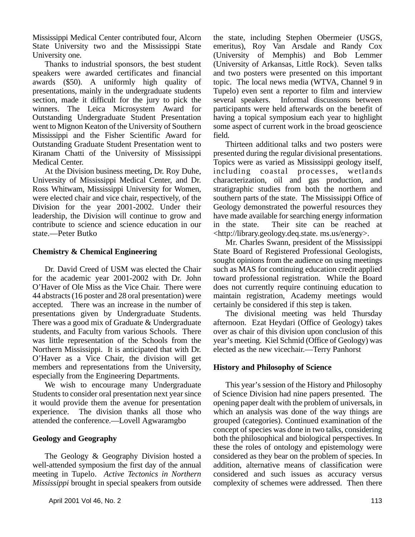Mississippi Medical Center contributed four, Alcorn State University two and the Mississippi State University one.

Thanks to industrial sponsors, the best student speakers were awarded certificates and financial awards (\$50). A uniformly high quality of presentations, mainly in the undergraduate students section, made it difficult for the jury to pick the winners. The Leica Microsystem Award for Outstanding Undergraduate Student Presentation went to Mignon Keaton of the University of Southern Mississippi and the Fisher Scientific Award for Outstanding Graduate Student Presentation went to Kiranam Chatti of the University of Mississippi Medical Center.

At the Division business meeting, Dr. Roy Duhe, University of Mississippi Medical Center, and Dr. Ross Whitwam, Mississippi University for Women, were elected chair and vice chair, respectively, of the Division for the year 2001-2002. Under their leadership, the Division will continue to grow and contribute to science and science education in our state.—Peter Butko

#### **Chemistry & Chemical Engineering**

Dr. David Creed of USM was elected the Chair for the academic year 2001-2002 with Dr. John O'Haver of Ole Miss as the Vice Chair. There were 44 abstracts (16 poster and 28 oral presentation) were accepted. There was an increase in the number of presentations given by Undergraduate Students. There was a good mix of Graduate & Undergraduate students, and Faculty from various Schools. There was little representation of the Schools from the Northern Mississippi. It is anticipated that with Dr. O'Haver as a Vice Chair, the division will get members and representations from the University, especially from the Engineering Departments.

We wish to encourage many Undergraduate Students to consider oral presentation next year since it would provide them the avenue for presentation experience. The division thanks all those who attended the conference.—Lovell Agwaramgbo

#### **Geology and Geography**

The Geology & Geography Division hosted a well-attended symposium the first day of the annual meeting in Tupelo. *Active Tectonics in Northern Mississippi* brought in special speakers from outside

the state, including Stephen Obermeier (USGS, emeritus), Roy Van Arsdale and Randy Cox (University of Memphis) and Bob Lemmer (University of Arkansas, Little Rock). Seven talks and two posters were presented on this important topic. The local news media (WTVA, Channel 9 in Tupelo) even sent a reporter to film and interview several speakers. Informal discussions between participants were held afterwards on the benefit of having a topical symposium each year to highlight some aspect of current work in the broad geoscience field.

Thirteen additional talks and two posters were presented during the regular divisional presentations. Topics were as varied as Mississippi geology itself, including coastal processes, wetlands characterization, oil and gas production, and stratigraphic studies from both the northern and southern parts of the state. The Mississippi Office of Geology demonstrated the powerful resources they have made available for searching energy information in the state. Their site can be reached at <http://library.geology.deq.state. ms.us/energy>.

Mr. Charles Swann, president of the Mississippi State Board of Registered Professional Geologists, sought opinions from the audience on using meetings such as MAS for continuing education credit applied toward professional registration. While the Board does not currently require continuing education to maintain registration, Academy meetings would certainly be considered if this step is taken.

The divisional meeting was held Thursday afternoon. Ezat Heydari (Office of Geology) takes over as chair of this division upon conclusion of this year's meeting. Kiel Schmid (Office of Geology) was elected as the new vicechair.—Terry Panhorst

#### **History and Philosophy of Science**

This year's session of the History and Philosophy of Science Division had nine papers presented. The opening paper dealt with the problem of universals, in which an analysis was done of the way things are grouped (categories). Continued examination of the concept of species was done in two talks, considering both the philosophical and biological perspectives. In these the roles of ontology and epistemology were considered as they bear on the problem of species. In addition, alternative means of classification were considered and such issues as accuracy versus complexity of schemes were addressed. Then there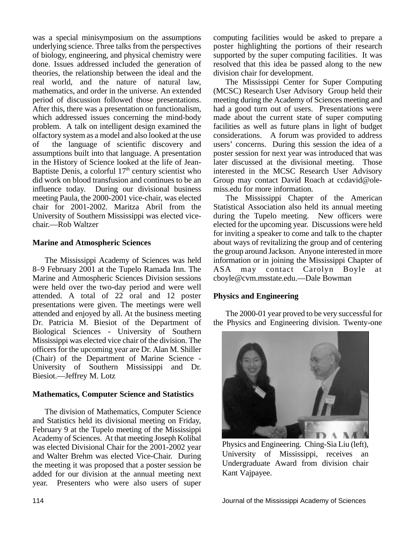was a special minisymposium on the assumptions underlying science. Three talks from the perspectives of biology, engineering, and physical chemistry were done. Issues addressed included the generation of theories, the relationship between the ideal and the real world, and the nature of natural law, mathematics, and order in the universe. An extended period of discussion followed those presentations. After this, there was a presentation on functionalism, which addressed issues concerning the mind-body problem. A talk on intelligent design examined the olfactory system as a model and also looked at the use of the language of scientific discovery and assumptions built into that language. A presentation in the History of Science looked at the life of Jean-Baptiste Denis, a colorful  $17<sup>th</sup>$  century scientist who did work on blood transfusion and continues to be an influence today. During our divisional business meeting Paula, the 2000-2001 vice-chair, was elected chair for 2001-2002. Maritza Abril from the University of Southern Mississippi was elected vicechair.—Rob Waltzer

#### **Marine and Atmospheric Sciences**

The Mississippi Academy of Sciences was held 8–9 February 2001 at the Tupelo Ramada Inn. The Marine and Atmospheric Sciences Division sessions were held over the two-day period and were well attended. A total of 22 oral and 12 poster presentations were given. The meetings were well attended and enjoyed by all. At the business meeting Dr. Patricia M. Biesiot of the Department of Biological Sciences - University of Southern Mississippi was elected vice chair of the division. The officers for the upcoming year are Dr. Alan M. Shiller (Chair) of the Department of Marine Science - University of Southern Mississippi and Dr. Biesiot.—Jeffrey M. Lotz

#### **Mathematics, Computer Science and Statistics**

The division of Mathematics, Computer Science and Statistics held its divisional meeting on Friday, February 9 at the Tupelo meeting of the Mississippi Academy of Sciences. At that meeting Joseph Kolibal was elected Divisional Chair for the 2001-2002 year and Walter Brehm was elected Vice-Chair. During the meeting it was proposed that a poster session be added for our division at the annual meeting next year. Presenters who were also users of super

computing facilities would be asked to prepare a poster highlighting the portions of their research supported by the super computing facilities. It was resolved that this idea be passed along to the new division chair for development.

The Mississippi Center for Super Computing (MCSC) Research User Advisory Group held their meeting during the Academy of Sciences meeting and had a good turn out of users. Presentations were made about the current state of super computing facilities as well as future plans in light of budget considerations. A forum was provided to address users' concerns. During this session the idea of a poster session for next year was introduced that was later discussed at the divisional meeting. Those interested in the MCSC Research User Advisory Group may contact David Roach at ccdavid@olemiss.edu for more information.

The Mississippi Chapter of the American Statistical Association also held its annual meeting during the Tupelo meeting. New officers were elected for the upcoming year. Discussions were held for inviting a speaker to come and talk to the chapter about ways of revitalizing the group and of centering the group around Jackson. Anyone interested in more information or in joining the Mississippi Chapter of ASA may contact Carolyn Boyle at cboyle@cvm.msstate.edu.—Dale Bowman

#### **Physics and Engineering**

The 2000-01 year proved to be very successful for the Physics and Engineering division. Twenty-one



Physics and Engineering. Ching-Sia Liu (left), University of Mississippi, receives an Undergraduate Award from division chair Kant Vajpayee.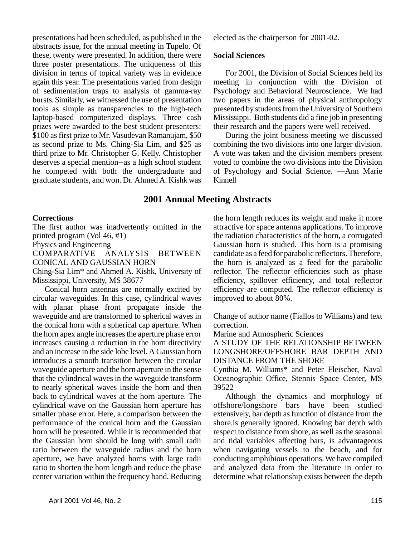presentations had been scheduled, as published in the abstracts issue, for the annual meeting in Tupelo. Of these, twenty were presented. In addition, there were three poster presentations. The uniqueness of this division in terms of topical variety was in evidence again this year. The presentations varied from design of sedimentation traps to analysis of gamma-ray bursts. Similarly, we witnessed the use of presentation tools as simple as transparencies to the high-tech laptop-based computerized displays. Three cash prizes were awarded to the best student presenters: \$100 as first prize to Mr. Vasudevan Ramanujam, \$50 as second prize to Ms. Ching-Sia Lim, and \$25 as third prize to Mr. Christopher G. Kelly. Christopher deserves a special mention--as a high school student he competed with both the undergraduate and graduate students, and won. Dr. Ahmed A. Kishk was

#### **2001 Annual Meeting Abstracts**

#### **Corrections**

The first author was inadvertently omitted in the printed program (Vol 46, #1)

Physics and Engineering

COMPARATIVE ANALYSIS BETWEEN CONICAL AND GAUSSIAN HORN

Ching-Sia Lim\* and Ahmed A. Kishk, University of Mississippi, University, MS 38677

Conical horn antennas are normally excited by circular waveguides. In this case, cylindrical waves with planar phase front propagate inside the waveguide and are transformed to spherical waves in the conical horn with a spherical cap aperture. When the horn apex angle increases the aperture phase error increases causing a reduction in the horn directivity and an increase in the side lobe level. A Gaussian horn introduces a smooth transition between the circular waveguide aperture and the horn aperture in the sense that the cylindrical waves in the waveguide transform to nearly spherical waves inside the horn and then back to cylindrical waves at the horn aperture. The cylindrical wave on the Gaussian horn aperture has smaller phase error. Here, a comparison between the performance of the conical horn and the Gaussian horn will be presented. While it is recommended that the Gaussian horn should be long with small radii ratio between the waveguide radius and the horn aperture, we have analyzed horns with large radii ratio to shorten the horn length and reduce the phase center variation within the frequency band. Reducing

elected as the chairperson for 2001-02.

#### **Social Sciences**

For 2001, the Division of Social Sciences held its meeting in conjunction with the Division of Psychology and Behavioral Neuroscience. We had two papers in the areas of physical anthropology presented by students from the University of Southern Mississippi. Both students did a fine job in presenting their research and the papers were well received.

During the joint business meeting we discussed combining the two divisions into one larger division. A vote was taken and the division members present voted to combine the two divisions into the Division of Psychology and Social Science. —Ann Marie Kinnell

the horn length reduces its weight and make it more attractive for space antenna applications. To improve the radiation characteristics of the horn, a corrugated Gaussian horn is studied. This horn is a promising candidate as a feed for parabolic reflectors. Therefore, the horn is analyzed as a feed for the parabolic reflector. The reflector efficiencies such as phase efficiency, spillover efficiency, and total reflector efficiency are computed. The reflector efficiency is improved to about 80%.

Change of author name (Fiallos to Williams) and text correction.

Marine and Atmospheric Sciences

A STUDY OF THE RELATIONSHIP BETWEEN LONGSHORE/OFFSHORE BAR DEPTH AND DISTANCE FROM THE SHORE

Cynthia M. Williams\* and Peter Fleischer, Naval Oceanographic Office, Stennis Space Center, MS 39522

Although the dynamics and morphology of offshore/longshore bars have been studied extensively, bar depth as function of distance from the shore.is generally ignored. Knowing bar depth with respect to distance from shore, as well as the seasonal and tidal variables affecting bars, is advantageous when navigating vessels to the beach, and for conducting amphibious operations. We have compiled and analyzed data from the literature in order to determine what relationship exists between the depth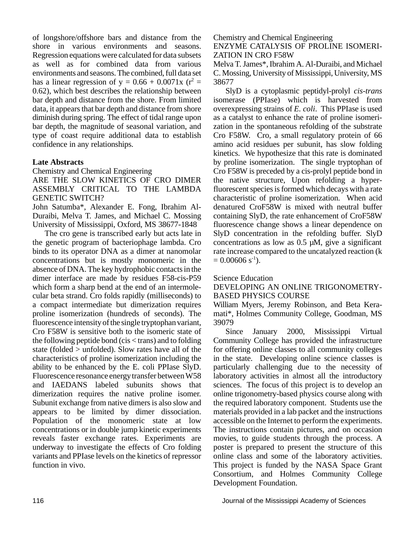of longshore/offshore bars and distance from the shore in various environments and seasons. Regression equations were calculated for data subsets as well as for combined data from various environments and seasons. The combined, full data set has a linear regression of  $y = 0.66 + 0.0071x$  (r<sup>2</sup> = 0.62), which best describes the relationship between bar depth and distance from the shore. From limited data, it appears that bar depth and distance from shore diminish during spring. The effect of tidal range upon bar depth, the magnitude of seasonal variation, and type of coast require additional data to establish confidence in any relationships.

#### **Late Abstracts**

Chemistry and Chemical Engineering

ARE THE SLOW KINETICS OF CRO DIMER ASSEMBLY CRITICAL TO THE LAMBDA GENETIC SWITCH?

John Satumba\*, Alexander E. Fong, Ibrahim Al-Duraibi, Melva T. James, and Michael C. Mossing University of Mississippi, Oxford, MS 38677-1848

The cro gene is transcribed early but acts late in the genetic program of bacteriophage lambda. Cro binds to its operator DNA as a dimer at nanomolar concentrations but is mostly monomeric in the absence of DNA. The key hydrophobic contacts in the dimer interface are made by residues F58-cis-P59 which form a sharp bend at the end of an intermolecular beta strand. Cro folds rapidly (milliseconds) to a compact intermediate but dimerization requires proline isomerization (hundreds of seconds). The fluorescence intensity of the single tryptophan variant, Cro F58W is sensitive both to the isomeric state of the following peptide bond (cis < trans) and to folding state (folded > unfolded). Slow rates have all of the characteristics of proline isomerization including the ability to be enhanced by the E. coli PPIase SlyD. Fluorescence resonance energy transfer between W58 and IAEDANS labeled subunits shows that dimerization requires the native proline isomer. Subunit exchange from native dimers is also slow and appears to be limited by dimer dissociation. Population of the monomeric state at low concentrations or in double jump kinetic experiments reveals faster exchange rates. Experiments are underway to investigate the effects of Cro folding variants and PPIase levels on the kinetics of repressor function in vivo.

#### Chemistry and Chemical Engineering ENZYME CATALYSIS OF PROLINE ISOMERI-ZATION IN CRO F58W

Melva T. James\*, Ibrahim A. Al-Duraibi, and Michael C. Mossing, University of Mississippi, University, MS 38677

SlyD is a cytoplasmic peptidyl-prolyl *cis-trans* isomerase (PPIase) which is harvested from overexpressing strains of *E. coli*. This PPIase is used as a catalyst to enhance the rate of proline isomerization in the spontaneous refolding of the substrate Cro F58W. Cro, a small regulatory protein of 66 amino acid residues per subunit, has slow folding kinetics. We hypothesize that this rate is dominated by proline isomerization. The single tryptophan of Cro F58W is preceded by a cis-prolyl peptide bond in the native structure, Upon refolding a hyperfluorescent species is formed which decays with a rate characteristic of proline isomerization. When acid denatured CroF58W is mixed with neutral buffer containing SlyD, the rate enhancement of CroF58W fluorescence change shows a linear dependence on SlyD concentration in the refolding buffer. SlyD concentrations as low as  $0.5 \mu M$ , give a significant rate increase compared to the uncatalyzed reaction (k  $= 0.00606$  s<sup>-1</sup>).

Science Education

DEVELOPING AN ONLINE TRIGONOMETRY-BASED PHYSICS COURSE

William Myers, Jeremy Robinson, and Beta Keramati\*, Holmes Community College, Goodman, MS 39079

Since January 2000, Mississippi Virtual Community College has provided the infrastructure for offering online classes to all community colleges in the state. Developing online science classes is particularly challenging due to the necessity of laboratory activities in almost all the introductory sciences. The focus of this project is to develop an online trigonometry-based physics course along with the required laboratory component. Students use the materials provided in a lab packet and the instructions accessible on the Internet to perform the experiments. The instructions contain pictures, and on occasion movies, to guide students through the process. A poster is prepared to present the structure of this online class and some of the laboratory activities. This project is funded by the NASA Space Grant Consortium, and Holmes Community College Development Foundation.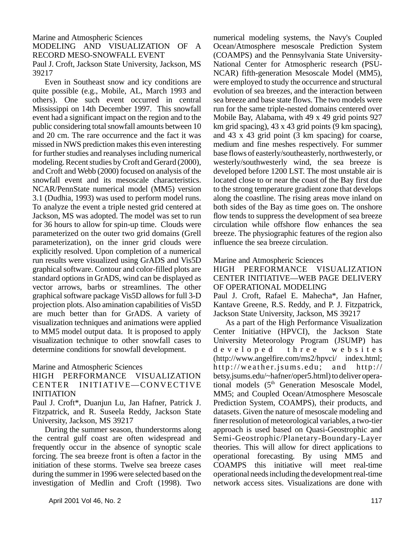Marine and Atmospheric Sciences MODELING AND VISUALIZATION OF A RECORD MESO-SNOWFALL EVENT

Paul J. Croft, Jackson State University, Jackson, MS 39217

Even in Southeast snow and icy conditions are quite possible (e.g., Mobile, AL, March 1993 and others). One such event occurred in central Mississippi on 14th December 1997. This snowfall event had a significant impact on the region and to the public considering total snowfall amounts between 10 and 20 cm. The rare occurrence and the fact it was missed in NWS prediction makes this even interesting for further studies and reanalyses including numerical modeling. Recent studies by Croft and Gerard (2000), and Croft and Webb (2000) focused on analysis of the snowfall event and its mesoscale characteristics. NCAR/PennState numerical model (MM5) version 3.1 (Dudhia, 1993) was used to perform model runs. To analyze the event a triple nested grid centered at Jackson, MS was adopted. The model was set to run for 36 hours to allow for spin-up time. Clouds were parameterized on the outer two grid domains (Grell parameterization), on the inner grid clouds were explicitly resolved. Upon completion of a numerical run results were visualized using GrADS and Vis5D graphical software. Contour and color-filled plots are standard options in GrADS, wind can be displayed as vector arrows, barbs or streamlines. The other graphical software package Vis5D allows for full 3-D projection plots. Also amination capabilities of Vis5D are much better than for GrADS. A variety of visualization techniques and animations were applied to MM5 model output data. It is proposed to apply visualization technique to other snowfall cases to determine conditions for snowfall development.

#### Marine and Atmospheric Sciences

#### HIGH PERFORMANCE VISUALIZATION CENTER INITIATIVE—CONVECTIVE INITIATION

Paul J. Croft\*, Duanjun Lu, Jan Hafner, Patrick J. Fitzpatrick, and R. Suseela Reddy, Jackson State University, Jackson, MS 39217

During the summer season, thunderstorms along the central gulf coast are often widespread and frequently occur in the absence of synoptic scale forcing. The sea breeze front is often a factor in the initiation of these storms. Twelve sea breeze cases during the summer in 1996 were selected based on the investigation of Medlin and Croft (1998). Two

numerical modeling systems, the Navy's Coupled Ocean/Atmosphere mesoscale Prediction System (COAMPS) and the Pennsylvania State University-National Center for Atmospheric research (PSU-NCAR) fifth-generation Mesoscale Model (MM5), were employed to study the occurrence and structural evolution of sea breezes, and the interaction between sea breeze and base state flows. The two models were run for the same triple-nested domains centered over Mobile Bay, Alabama, with 49 x 49 grid points 927 km grid spacing), 43 x 43 grid points (9 km spacing), and 43 x 43 grid point (3 km spacing) for coarse, medium and fine meshes respectively. For summer base flows of easterly/southeasterly, northwesterly, or westerly/southwesterly wind, the sea breeze is developed before 1200 LST. The most unstable air is located close to or near the coast of the Bay first due to the strong temperature gradient zone that develops along the coastline. The rising areas move inland on both sides of the Bay as time goes on. The onshore flow tends to suppress the development of sea breeze circulation while offshore flow enhances the sea breeze. The physiographic features of the region also influence the sea breeze circulation.

#### Marine and Atmospheric Sciences

HIGH PERFORMANCE VISUALIZATION CENTER INITIATIVE—WEB PAGE DELIVERY OF OPERATIONAL MODELING

Paul J. Croft, Rafael E. Mahecha\*, Jan Hafner, Kantave Greene, R.S. Reddy, and P. J. Fitzpatrick, Jackson State University, Jackson, MS 39217

As a part of the High Performance Visualization Center Initiative (HPVCI), the Jackson State University Meteorology Program (JSUMP) has developed three website s (http://www.angelfire.com/ms2/hpvci/ index.html; http://weather.jsums.edu; and http:// betsy.jsums.edu/~hafner/oper5.html) to deliver operational models (5<sup>th</sup> Generation Mesoscale Model, MM5; and Coupled Ocean/Atmosphere Mesoscale Prediction System, COAMPS), their products, and datasets. Given the nature of mesoscale modeling and finer resolution of meteorological variables, a two-tier approach is used based on Quasi-Geostrophic and Semi-Geostrophic/Planetary-Boundary-Layer theories. This will allow for direct applications to operational forecasting. By using MM5 and COAMPS this initiative will meet real-time operational needs including the development real-time network access sites. Visualizations are done with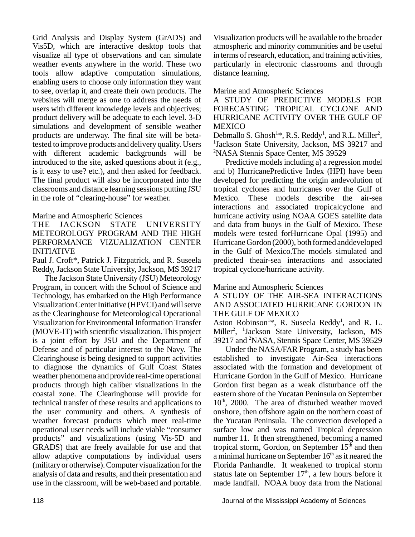Grid Analysis and Display System (GrADS) and Vis5D, which are interactive desktop tools that visualize all type of observations and can simulate weather events anywhere in the world. These two tools allow adaptive computation simulations, enabling users to choose only information they want to see, overlap it, and create their own products. The websites will merge as one to address the needs of users with different knowledge levels and objectives; product delivery will be adequate to each level. 3-D simulations and development of sensible weather products are underway. The final site will be betatested to improve products and delivery quality. Users with different academic backgrounds will be introduced to the site, asked questions about it (e.g., is it easy to use? etc.), and then asked for feedback. The final product will also be incorporated into the classrooms and distance learning sessions putting JSU in the role of "clearing-house" for weather.

#### Marine and Atmospheric Sciences

#### THE JACKSON STATE UNIVERSITY METEOROLOGY PROGRAM AND THE HIGH PERFORMANCE VIZUALIZATION CENTER INITIATIVE

Paul J. Croft\*, Patrick J. Fitzpatrick, and R. Suseela Reddy, Jackson State University, Jackson, MS 39217

The Jackson State University (JSU) Meteorology Program, in concert with the School of Science and Technology, has embarked on the High Performance Visualization Center Initiative (HPVCI) and will serve as the Clearinghouse for Meteorological Operational Visualization for Environmental Information Transfer (MOVE-IT) with scientific visualization. This project is a joint effort by JSU and the Department of Defense and of particular interest to the Navy. The Clearinghouse is being designed to support activities to diagnose the dynamics of Gulf Coast States weather phenomena and provide real-time operational products through high caliber visualizations in the coastal zone. The Clearinghouse will provide for technical transfer of these results and applications to the user community and others. A synthesis of weather forecast products which meet real-time operational user needs will include viable "consumer products" and visualizations (using Vis-5D and GRADS) that are freely available for use and that allow adaptive computations by individual users (military or otherwise). Computer visualization for the analysis of data and results, and their presentation and use in the classroom, will be web-based and portable.

Visualization products will be available to the broader atmospheric and minority communities and be useful in terms of research, education, and training activities, particularly in electronic classrooms and through distance learning.

#### Marine and Atmospheric Sciences

A STUDY OF PREDICTIVE MODELS FOR FORECASTING TROPICAL CYCLONE AND HURRICANE ACTIVITY OVER THE GULF OF **MEXICO** 

Debmallo S. Ghosh<sup>1\*</sup>, R.S. Reddy<sup>1</sup>, and R.L. Miller<sup>2</sup>, <sup>1</sup>Jackson State University, Jackson, MS 39217 and <sup>2</sup>NASA Stennis Space Center, MS 39529

Predictive models including a) a regression model and b) HurricanePredictive Index (HPI) have been developed for predicting the origin andevolution of tropical cyclones and hurricanes over the Gulf of Mexico. These models describe the air-sea interactions and associated tropicalcyclone and hurricane activity using NOAA GOES satellite data and data from buoys in the Gulf of Mexico. These models were tested forHurricane Opal (1995) and Hurricane Gordon (2000), both formed anddeveloped in the Gulf of Mexico.The models simulated and predicted theair-sea interactions and associated tropical cyclone/hurricane activity.

#### Marine and Atmospheric Sciences

#### A STUDY OF THE AIR-SEA INTERACTIONS AND ASSOCIATED HURRICANE GORDON IN THE GULF OF MEXICO

Aston Robinson<sup>1\*</sup>, R. Suseela Reddy<sup>1</sup>, and R. L. Miller<sup>2</sup>, <sup>1</sup>Jackson State University, Jackson, MS 39217 and <sup>2</sup>NASA, Stennis Space Center, MS 39529

Under the NASA/FAR Program, a study has been established to investigate Air-Sea interactions associated with the formation and development of Hurricane Gordon in the Gulf of Mexico. Hurricane Gordon first began as a weak disturbance off the eastern shore of the Yucatan Peninsula on September 10<sup>th</sup>, 2000. The area of disturbed weather moved onshore, then offshore again on the northern coast of the Yucatan Peninsula. The convection developed a surface low and was named Tropical depression number 11. It then strengthened, becoming a named tropical storm, Gordon, on September  $15<sup>th</sup>$  and then a minimal hurricane on September  $16<sup>th</sup>$  as it neared the Florida Panhandle. It weakened to tropical storm status late on September  $17<sup>th</sup>$ , a few hours before it made landfall. NOAA buoy data from the National